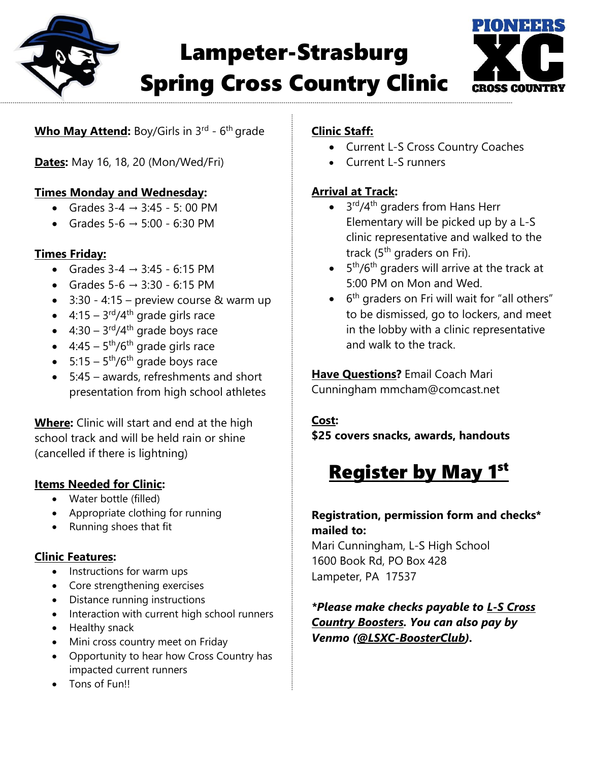

# Lampeter-Strasburg Spring Cross Country Clinic



### Who May Attend: Boy/Girls in 3<sup>rd</sup> - 6<sup>th</sup> grade

**Dates:** May 16, 18, 20 (Mon/Wed/Fri)

#### **Times Monday and Wednesday:**

- Grades  $3-4 \rightarrow 3:45 5:00 \text{ PM}$
- Grades  $5-6 \rightarrow 5:00 6:30 \text{ PM}$

#### **Times Friday:**

- Grades  $3-4 \rightarrow 3:45 6:15 \text{ PM}$
- Grades  $5-6 \rightarrow 3:30 6:15 \text{ PM}$
- $\bullet$  3:30 4:15 preview course & warm up
- $4:15-3<sup>rd</sup>/4<sup>th</sup>$  grade girls race
- $4:30 3^{\text{rd}}/4^{\text{th}}$  grade boys race
- $4:45-5^{\text{th}}/6^{\text{th}}$  grade girls race
- $5:15-5^{\text{th}}/6^{\text{th}}$  grade boys race
- 5:45 awards, refreshments and short presentation from high school athletes

**Where:** Clinic will start and end at the high school track and will be held rain or shine (cancelled if there is lightning)

## **Items Needed for Clinic:**

- Water bottle (filled)
- Appropriate clothing for running
- Running shoes that fit

#### **Clinic Features:**

- Instructions for warm ups
- Core strengthening exercises
- Distance running instructions
- Interaction with current high school runners
- Healthy snack
- Mini cross country meet on Friday
- Opportunity to hear how Cross Country has impacted current runners
- Tons of Fun!!

## **Clinic Staff:**

- Current L-S Cross Country Coaches
- Current L-S runners

#### **Arrival at Track:**

- $\bullet$  3<sup>rd</sup>/4<sup>th</sup> graders from Hans Herr Elementary will be picked up by a L-S clinic representative and walked to the track (5<sup>th</sup> graders on Fri).
- $\bullet$  5<sup>th</sup>/6<sup>th</sup> graders will arrive at the track at 5:00 PM on Mon and Wed.
- $\bullet$  6<sup>th</sup> graders on Fri will wait for "all others" to be dismissed, go to lockers, and meet in the lobby with a clinic representative and walk to the track.

**Have Questions?** Email Coach Mari Cunningham mmcham@comcast.net

#### **Cost:**

**\$25 covers snacks, awards, handouts**

## **Register by May 1st**

#### **Registration, permission form and checks\* mailed to:**

Mari Cunningham, L-S High School 1600 Book Rd, PO Box 428 Lampeter, PA 17537

*\*Please make checks payable to L-S Cross Country Boosters. You can also pay by Venmo (@LSXC-BoosterClub).*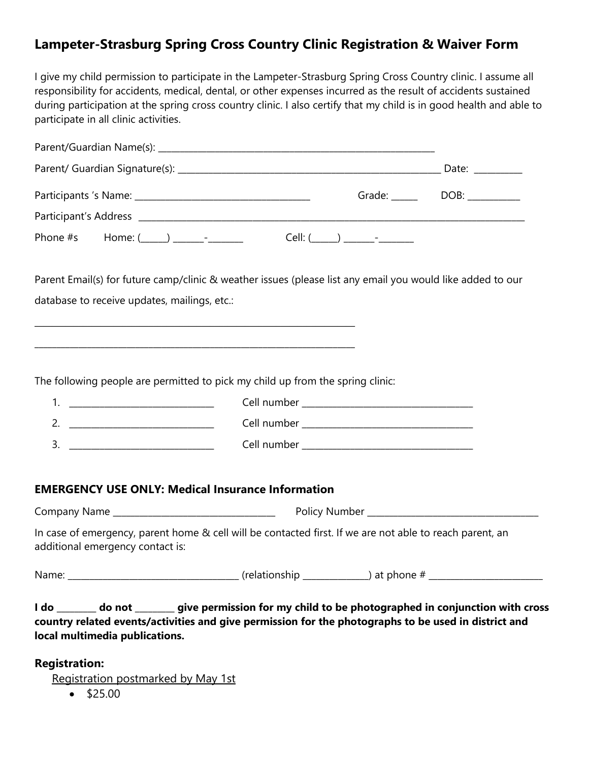## **Lampeter-Strasburg Spring Cross Country Clinic Registration & Waiver Form**

I give my child permission to participate in the Lampeter-Strasburg Spring Cross Country clinic. I assume all responsibility for accidents, medical, dental, or other expenses incurred as the result of accidents sustained during participation at the spring cross country clinic. I also certify that my child is in good health and able to participate in all clinic activities.

|  | Date: _________        |      |
|--|------------------------|------|
|  | Grade: <u>________</u> | DOB: |
|  |                        |      |
|  | $Cell: ( )$ -          |      |

Parent Email(s) for future camp/clinic & weather issues (please list any email you would like added to our database to receive updates, mailings, etc.:

The following people are permitted to pick my child up from the spring clinic:

\_\_\_\_\_\_\_\_\_\_\_\_\_\_\_\_\_\_\_\_\_\_\_\_\_\_\_\_\_\_\_\_\_\_\_\_\_\_\_\_\_\_\_\_\_\_\_\_\_\_\_\_\_\_\_\_\_\_\_\_\_\_\_\_\_\_\_\_\_\_\_\_\_

\_\_\_\_\_\_\_\_\_\_\_\_\_\_\_\_\_\_\_\_\_\_\_\_\_\_\_\_\_\_\_\_\_\_\_\_\_\_\_\_\_\_\_\_\_\_\_\_\_\_\_\_\_\_\_\_\_\_\_\_\_\_\_\_\_\_\_\_\_\_\_\_\_

|  | Cell number _________________________________                                                                                                                                                                                  |
|--|--------------------------------------------------------------------------------------------------------------------------------------------------------------------------------------------------------------------------------|
|  | Cell number ___________________                                                                                                                                                                                                |
|  | Cell number and the contract of the contract of the contract of the contract of the contract of the contract of the contract of the contract of the contract of the contract of the contract of the contract of the contract o |
|  |                                                                                                                                                                                                                                |

#### **EMERGENCY USE ONLY: Medical Insurance Information**

Company Name \_\_\_\_\_\_\_\_\_\_\_\_\_\_\_\_\_\_\_\_\_\_\_\_\_\_\_\_\_\_\_\_\_\_\_\_\_ Policy Number \_\_\_\_\_\_\_\_\_\_\_\_\_\_\_\_\_\_\_\_\_\_\_\_\_\_\_\_\_\_\_\_\_\_\_\_\_\_\_

In case of emergency, parent home & cell will be contacted first. If we are not able to reach parent, an additional emergency contact is:

Name: \_\_\_\_\_\_\_\_\_\_\_\_\_\_\_\_\_\_\_\_\_\_\_\_\_\_\_\_\_\_\_\_\_\_\_\_\_\_\_ (relationship \_\_\_\_\_\_\_\_\_\_\_\_\_\_\_) at phone # \_\_\_\_\_\_\_\_\_\_\_\_\_\_\_\_\_\_\_\_\_\_\_\_\_\_

**I do \_\_\_\_\_\_\_\_\_ do not \_\_\_\_\_\_\_\_\_ give permission for my child to be photographed in conjunction with cross country related events/activities and give permission for the photographs to be used in district and local multimedia publications.**

#### **Registration:**

Registration postmarked by May 1st

• \$25.00